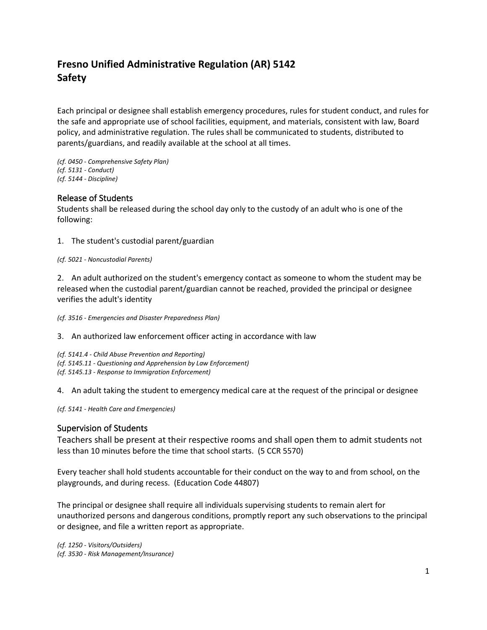# **Fresno Unified Administrative Regulation (AR) 5142 Safety**

Each principal or designee shall establish emergency procedures, rules for student conduct, and rules for the safe and appropriate use of school facilities, equipment, and materials, consistent with law, Board policy, and administrative regulation. The rules shall be communicated to students, distributed to parents/guardians, and readily available at the school at all times.

*(cf. 0450 - Comprehensive Safety Plan) (cf. 5131 - Conduct) (cf. 5144 - Discipline)*

#### Release of Students

Students shall be released during the school day only to the custody of an adult who is one of the following:

1. The student's custodial parent/guardian

#### *(cf. 5021 - Noncustodial Parents)*

2. An adult authorized on the student's emergency contact as someone to whom the student may be released when the custodial parent/guardian cannot be reached, provided the principal or designee verifies the adult's identity

*(cf. 3516 - Emergencies and Disaster Preparedness Plan)*

3. An authorized law enforcement officer acting in accordance with law

*(cf. 5141.4 - Child Abuse Prevention and Reporting) (cf. 5145.11 - Questioning and Apprehension by Law Enforcement) (cf. 5145.13 - Response to Immigration Enforcement)*

4. An adult taking the student to emergency medical care at the request of the principal or designee

*(cf. 5141 - Health Care and Emergencies)*

#### Supervision of Students

Teachers shall be present at their respective rooms and shall open them to admit students not less than 10 minutes before the time that school starts. (5 CCR 5570)

Every teacher shall hold students accountable for their conduct on the way to and from school, on the playgrounds, and during recess. (Education Code 44807)

The principal or designee shall require all individuals supervising students to remain alert for unauthorized persons and dangerous conditions, promptly report any such observations to the principal or designee, and file a written report as appropriate.

*(cf. 1250 - Visitors/Outsiders) (cf. 3530 - Risk Management/Insurance)*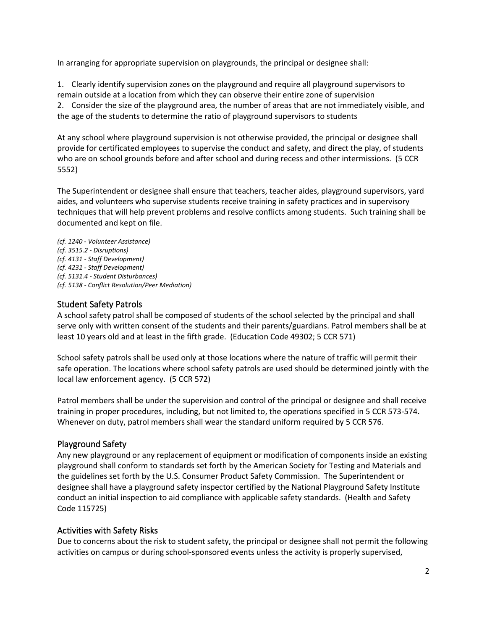In arranging for appropriate supervision on playgrounds, the principal or designee shall:

1. Clearly identify supervision zones on the playground and require all playground supervisors to remain outside at a location from which they can observe their entire zone of supervision 2. Consider the size of the playground area, the number of areas that are not immediately visible, and the age of the students to determine the ratio of playground supervisors to students

At any school where playground supervision is not otherwise provided, the principal or designee shall provide for certificated employees to supervise the conduct and safety, and direct the play, of students who are on school grounds before and after school and during recess and other intermissions. (5 CCR 5552)

The Superintendent or designee shall ensure that teachers, teacher aides, playground supervisors, yard aides, and volunteers who supervise students receive training in safety practices and in supervisory techniques that will help prevent problems and resolve conflicts among students. Such training shall be documented and kept on file.

*(cf. 1240 - Volunteer Assistance) (cf. 3515.2 - Disruptions) (cf. 4131 - Staff Development) (cf. 4231 - Staff Development) (cf. 5131.4 - Student Disturbances) (cf. 5138 - Conflict Resolution/Peer Mediation)*

# Student Safety Patrols

A school safety patrol shall be composed of students of the school selected by the principal and shall serve only with written consent of the students and their parents/guardians. Patrol members shall be at least 10 years old and at least in the fifth grade. (Education Code 49302; 5 CCR 571)

School safety patrols shall be used only at those locations where the nature of traffic will permit their safe operation. The locations where school safety patrols are used should be determined jointly with the local law enforcement agency. (5 CCR 572)

Patrol members shall be under the supervision and control of the principal or designee and shall receive training in proper procedures, including, but not limited to, the operations specified in 5 CCR 573-574. Whenever on duty, patrol members shall wear the standard uniform required by 5 CCR 576.

# Playground Safety

Any new playground or any replacement of equipment or modification of components inside an existing playground shall conform to standards set forth by the American Society for Testing and Materials and the guidelines set forth by the U.S. Consumer Product Safety Commission. The Superintendent or designee shall have a playground safety inspector certified by the National Playground Safety Institute conduct an initial inspection to aid compliance with applicable safety standards. (Health and Safety Code 115725)

# Activities with Safety Risks

Due to concerns about the risk to student safety, the principal or designee shall not permit the following activities on campus or during school-sponsored events unless the activity is properly supervised,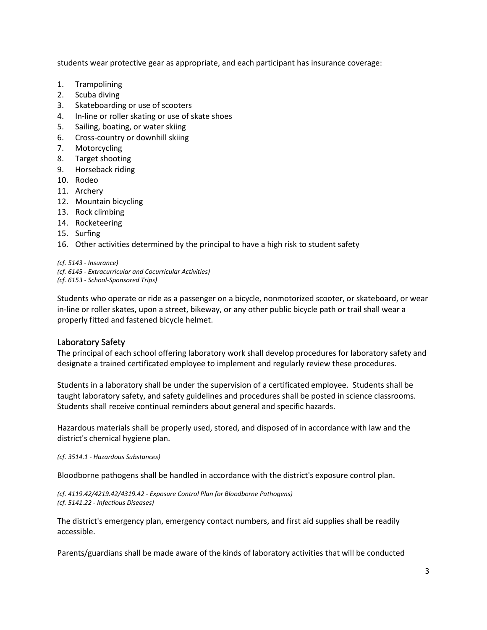students wear protective gear as appropriate, and each participant has insurance coverage:

- 1. Trampolining
- 2. Scuba diving
- 3. Skateboarding or use of scooters
- 4. In-line or roller skating or use of skate shoes
- 5. Sailing, boating, or water skiing
- 6. Cross-country or downhill skiing
- 7. Motorcycling
- 8. Target shooting
- 9. Horseback riding
- 10. Rodeo
- 11. Archery
- 12. Mountain bicycling
- 13. Rock climbing
- 14. Rocketeering
- 15. Surfing
- 16. Other activities determined by the principal to have a high risk to student safety

*(cf. 5143 - Insurance) (cf. 6145 - Extracurricular and Cocurricular Activities) (cf. 6153 - School-Sponsored Trips)*

Students who operate or ride as a passenger on a bicycle, nonmotorized scooter, or skateboard, or wear in-line or roller skates, upon a street, bikeway, or any other public bicycle path or trail shall wear a properly fitted and fastened bicycle helmet.

# Laboratory Safety

The principal of each school offering laboratory work shall develop procedures for laboratory safety and designate a trained certificated employee to implement and regularly review these procedures.

Students in a laboratory shall be under the supervision of a certificated employee. Students shall be taught laboratory safety, and safety guidelines and procedures shall be posted in science classrooms. Students shall receive continual reminders about general and specific hazards.

Hazardous materials shall be properly used, stored, and disposed of in accordance with law and the district's chemical hygiene plan.

*(cf. 3514.1 - Hazardous Substances)*

Bloodborne pathogens shall be handled in accordance with the district's exposure control plan.

*(cf. 4119.42/4219.42/4319.42 - Exposure Control Plan for Bloodborne Pathogens) (cf. 5141.22 - Infectious Diseases)*

The district's emergency plan, emergency contact numbers, and first aid supplies shall be readily accessible.

Parents/guardians shall be made aware of the kinds of laboratory activities that will be conducted